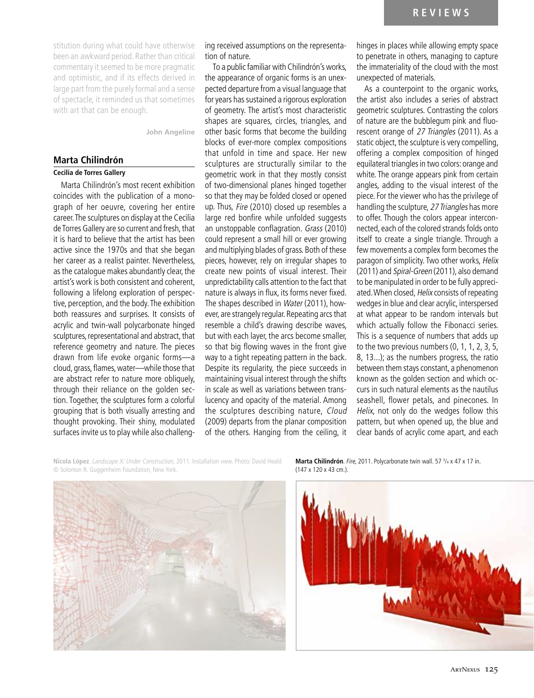stitution during what could have otherwise been an awkward period. Rather than critical commentary it seemed to be more pragmatic and optimistic, and if its effects derived in large part from the purely formal and a sense of spectacle, it reminded us that sometimes with art that can be enough.

**John Angeline**

# **Marta Chilindrón**

## **Cecilia de Torres Gallery**

Marta Chilindrón's most recent exhibition coincides with the publication of a monograph of her oeuvre, covering her entire career. The sculptures on display at the Cecilia de Torres Gallery are so current and fresh, that it is hard to believe that the artist has been active since the 1970s and that she began her career as a realist painter. Nevertheless, as the catalogue makes abundantly clear, the artist's work is both consistent and coherent, following a lifelong exploration of perspective, perception, and the body. The exhibition both reassures and surprises. It consists of acrylic and twin-wall polycarbonate hinged sculptures, representational and abstract, that reference geometry and nature. The pieces drawn from life evoke organic forms—a cloud, grass, flames, water—while those that are abstract refer to nature more obliquely, through their reliance on the golden section. Together, the sculptures form a colorful grouping that is both visually arresting and thought provoking. Their shiny, modulated surfaces invite us to play while also challenging received assumptions on the representation of nature.

To a public familiar with Chilindrón's works, the appearance of organic forms is an unexpected departure from a visual language that for years has sustained a rigorous exploration of geometry. The artist's most characteristic shapes are squares, circles, triangles, and other basic forms that become the building blocks of ever-more complex compositions that unfold in time and space. Her new sculptures are structurally similar to the geometric work in that they mostly consist of two-dimensional planes hinged together so that they may be folded closed or opened up. Thus, Fire (2010) closed up resembles a large red bonfire while unfolded suggests an unstoppable conflagration. Grass (2010) could represent a small hill or ever growing and multiplying blades of grass. Both of these pieces, however, rely on irregular shapes to create new points of visual interest. Their unpredictability calls attention to the fact that nature is always in flux, its forms never fixed. The shapes described in Water (2011), however, are strangely regular. Repeating arcs that resemble a child's drawing describe waves, but with each layer, the arcs become smaller, so that big flowing waves in the front give way to a tight repeating pattern in the back. Despite its regularity, the piece succeeds in maintaining visual interest through the shifts in scale as well as variations between translucency and opacity of the material. Among the sculptures describing nature, Cloud (2009) departs from the planar composition of the others. Hanging from the ceiling, it hinges in places while allowing empty space to penetrate in others, managing to capture the immateriality of the cloud with the most unexpected of materials.

As a counterpoint to the organic works, the artist also includes a series of abstract geometric sculptures. Contrasting the colors of nature are the bubblegum pink and fluorescent orange of 27 Triangles (2011). As a static object, the sculpture is very compelling, offering a complex composition of hinged equilateral triangles in two colors: orange and white. The orange appears pink from certain angles, adding to the visual interest of the piece. For the viewer who has the privilege of handling the sculpture, 27 Triangles has more to offer. Though the colors appear interconnected, each of the colored strands folds onto itself to create a single triangle. Through a few movements a complex form becomes the paragon of simplicity. Two other works, Helix (2011) and Spiral-Green (2011), also demand to be manipulated in order to be fully appreciated. When closed, Helix consists of repeating wedges in blue and clear acrylic, interspersed at what appear to be random intervals but which actually follow the Fibonacci series. This is a sequence of numbers that adds up to the two previous numbers (0, 1, 1, 2, 3, 5, 8, 13...); as the numbers progress, the ratio between them stays constant, a phenomenon known as the golden section and which occurs in such natural elements as the nautilus seashell, flower petals, and pinecones. In Helix, not only do the wedges follow this pattern, but when opened up, the blue and clear bands of acrylic come apart, and each

**Nicola López**. Landscape X: Under Construction, 2011. Installation view. Photo: David Heald © Solomon R. Guggenheim Foundation, New York.

**Marta Chilindrón**. Fire, 2011. Polycarbonate twin wall. 57<sup>3</sup>/4 x 47 x 17 in. (147 x 120 x 43 cm.).